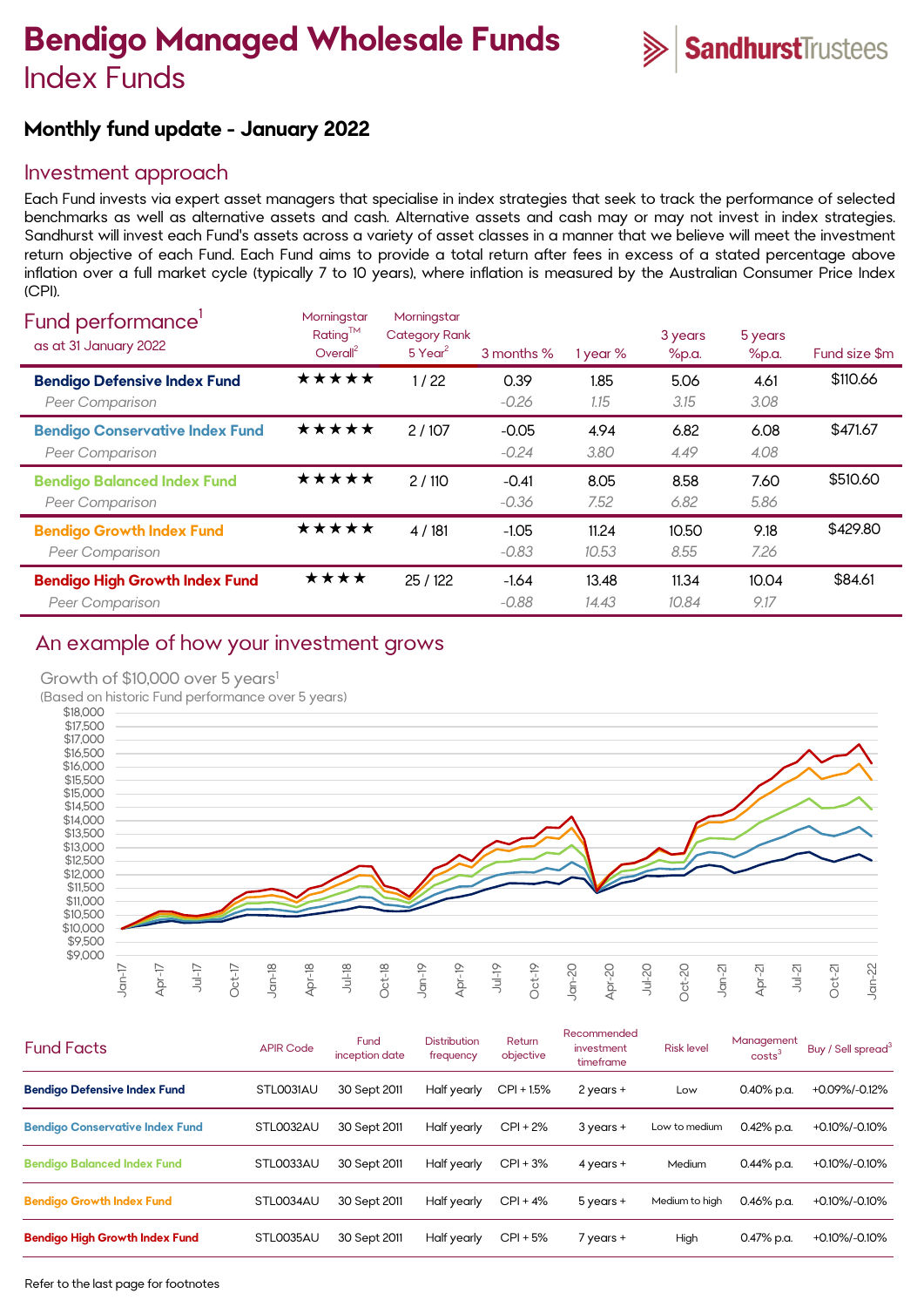# **Bendigo Managed Wholesale Funds** Index Funds



# **Monthly fund update - January 2022**

### Investment approach

Each Fund invests via expert asset managers that specialise in index strategies that seek to track the performance of selected benchmarks as well as alternative assets and cash. Alternative assets and cash may or may not invest in index strategies. Sandhurst will invest each Fund's assets across a variety of asset classes in a manner that we believe will meet the investment return objective of each Fund. Each Fund aims to provide a total return after fees in excess of a stated percentage above inflation over a full market cycle (typically 7 to 10 years), where inflation is measured by the Australian Consumer Price Index (CPI).

| Fund performance'<br>as at 31 January 2022                      | Morningstar<br>Rating™<br>Overall <sup>2</sup> | Morningstar<br><b>Category Rank</b><br>$5$ Year <sup>2</sup> | 3 months %         | 1 year %       | 3 years<br>%p.a. | 5 years<br>%p.a. | Fund size \$m |
|-----------------------------------------------------------------|------------------------------------------------|--------------------------------------------------------------|--------------------|----------------|------------------|------------------|---------------|
| <b>Bendigo Defensive Index Fund</b><br>Peer Comparison          | ★★★★★                                          | 1/22                                                         | 0.39<br>$-0.26$    | 1.85<br>1.15   | 5.06<br>3.15     | 4.61<br>3.08     | \$110.66      |
| <b>Bendigo Conservative Index Fund</b><br>Peer Comparison       | ★★★★★                                          | 2/107                                                        | $-0.05$<br>$-0.24$ | 4.94<br>3.80   | 6.82<br>4.49     | 6.08<br>4.08     | \$471.67      |
| <b>Bendigo Balanced Index Fund</b><br>Peer Comparison           | ★★★★★                                          | 2/110                                                        | $-0.41$<br>$-0.36$ | 8.05<br>7.52   | 8.58<br>6.82     | 7.60<br>5.86     | \$510.60      |
| <b>Bendigo Growth Index Fund</b><br>Peer Comparison             | ★★★★★                                          | 4/181                                                        | $-1.05$<br>$-0.83$ | 11.24<br>10.53 | 10.50<br>8.55    | 9.18<br>7.26     | \$429.80      |
| <b>Bendigo High Growth Index Fund</b><br><b>Peer Comparison</b> | ****                                           | 25/122                                                       | $-1.64$<br>$-0.88$ | 13.48<br>14.43 | 11.34<br>10.84   | 10.04<br>9.17    | \$84.61       |

# An example of how your investment grows

#### Growth of \$10,000 over 5 years<sup>1</sup>

(Based on historic Fund performance over 5 years)



| <b>Fund Facts</b>                      | <b>APIR Code</b> | Fund<br>inception date | <b>Distribution</b><br>frequency | Return<br>objective | Recommended<br>investment<br>timeframe | <b>Risk level</b> | Management<br>costs <sup>3</sup> | Buy / Sell spread <sup>3</sup> |
|----------------------------------------|------------------|------------------------|----------------------------------|---------------------|----------------------------------------|-------------------|----------------------------------|--------------------------------|
| <b>Bendigo Defensive Index Fund</b>    | STLOO31AU        | 30 Sept 2011           | Half yearly                      | $CPI + 1.5%$        | $2$ years $+$                          | Low               | $0.40\%$ p.a.                    | +0.09%/-0.12%                  |
| <b>Bendigo Conservative Index Fund</b> | STL0032AU        | 30 Sept 2011           | Half yearly                      | $CPI + 2%$          | $3$ years $+$                          | Low to medium     | $0.42\%$ p.a.                    | +0.10%/-0.10%                  |
| <b>Bendigo Balanced Index Fund</b>     | STL0033AU        | 30 Sept 2011           | Half yearly                      | $CPI + 3%$          | $4$ years $+$                          | Medium            | $0.44\%$ p.a.                    | +0.10%/-0.10%                  |
| <b>Bendigo Growth Index Fund</b>       | STL0034AU        | 30 Sept 2011           | Half yearly                      | $CPI + 4%$          | $5$ years $+$                          | Medium to high    | $0.46\%$ p.a.                    | +0.10%/-0.10%                  |
| <b>Bendigo High Growth Index Fund</b>  | STL0035AU        | 30 Sept 2011           | Half yearly                      | $CPI + 5%$          | 7 years +                              | High              | 0.47% p.a.                       | +0.10%/-0.10%                  |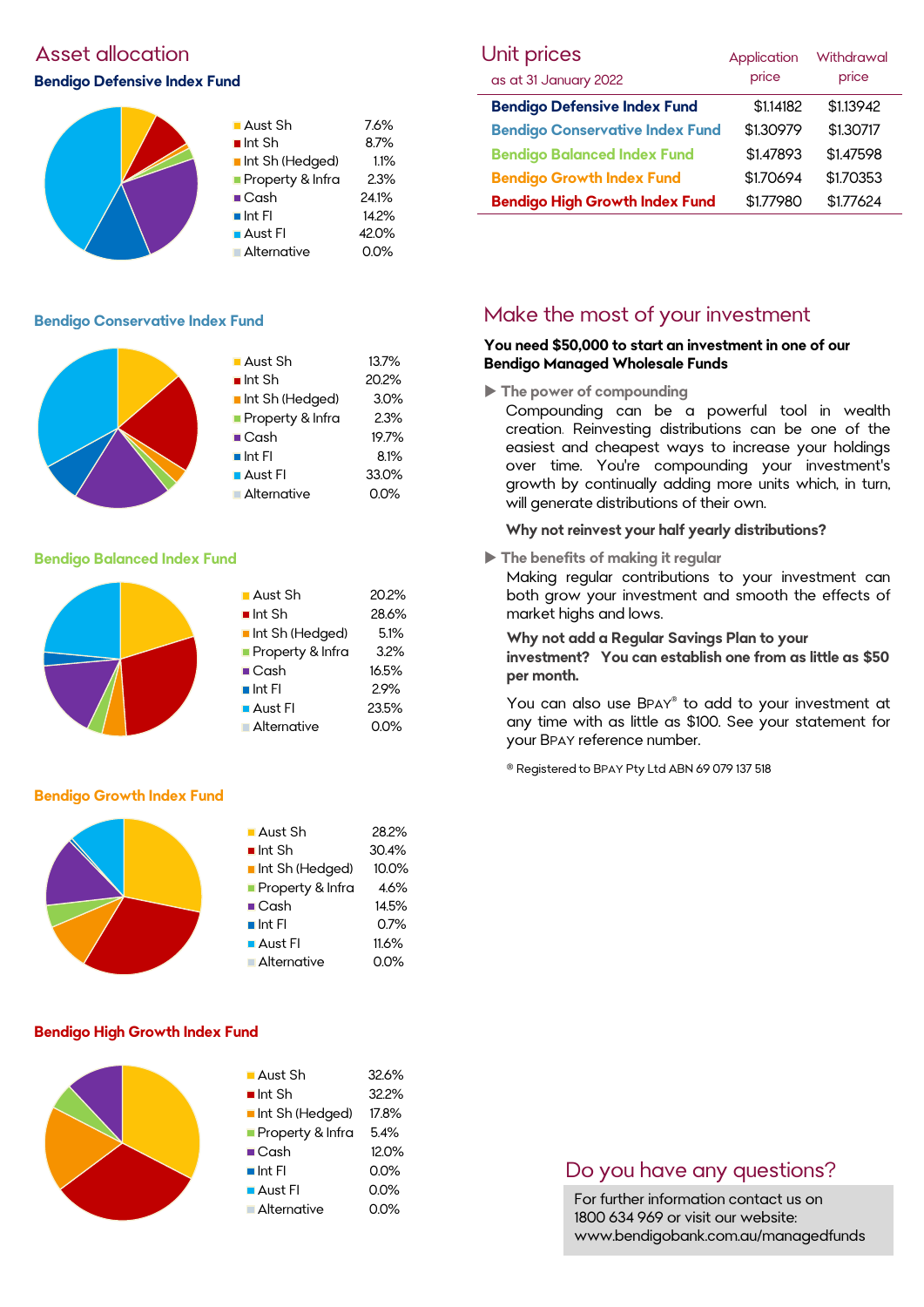## Asset allocation

#### **Bendigo Defensive Index Fund**



13.7% 20.2%  $3.0%$  $2.3%$ 19.7%  $8.1%$ 33.0%  $0.0%$ 

#### **Bendigo Conservative Index Fund**

|  | ■ Aust Sh             |
|--|-----------------------|
|  | $\blacksquare$ Int Sh |
|  | Int Sh (Hedged)       |
|  | Property & Infra      |
|  | $\blacksquare$ Cash   |
|  | $\blacksquare$ Int FI |
|  | <b>Aust Fl</b>        |
|  | Alternative           |

#### **Bendigo Balanced Index Fund**

|  | $\blacksquare$ Aust Sh | 20.2% |
|--|------------------------|-------|
|  | $\blacksquare$ Int Sh  | 28.6% |
|  | Int Sh (Hedged)        | 5.1%  |
|  | Property & Infra       | 3.2%  |
|  | $\blacksquare$ Cash    | 16.5% |
|  | $\blacksquare$ Int Fl  | 2.9%  |
|  | $\blacksquare$ Aust FI | 23.5% |
|  | Alternative            | 0.0%  |
|  |                        |       |

#### **Bendigo Growth Index Fund**



#### **Bendigo High Growth Index Fund**

| $\blacksquare$ Aust Sh<br>$\blacksquare$ Int Sh<br>Int Sh (Hedged)<br>Property & Infra<br>$\blacksquare$ Cash<br>$\blacksquare$ Int FI<br>$\blacksquare$ Aust FI | 32.6%<br>32.2%<br>17.8%<br>5.4%<br>12.0%<br>$0.0\%$<br>0.0% |
|------------------------------------------------------------------------------------------------------------------------------------------------------------------|-------------------------------------------------------------|
|                                                                                                                                                                  |                                                             |
| <b>Alternative</b>                                                                                                                                               | 0.0%                                                        |
|                                                                                                                                                                  |                                                             |

| Unit prices                            | Application | Withdrawal<br>price |  |
|----------------------------------------|-------------|---------------------|--|
| as at 31 January 2022                  | price       |                     |  |
| <b>Bendigo Defensive Index Fund</b>    | \$1.14182   | \$1.13942           |  |
| <b>Bendigo Conservative Index Fund</b> | \$1.30979   | \$1.30717           |  |
| <b>Bendigo Balanced Index Fund</b>     | \$1.47893   | \$1.47598           |  |
| <b>Bendigo Growth Index Fund</b>       | \$1.70694   | \$1.70353           |  |
| <b>Bendigo High Growth Index Fund</b>  | \$1.77980   | \$1.77624           |  |

### Make the most of your investment

#### **You need \$50,000 to start an investment in one of our Bendigo Managed Wholesale Funds**

**The power of compounding**

Compounding can be a powerful tool in wealth creation. Reinvesting distributions can be one of the easiest and cheapest ways to increase your holdings over time. You're compounding your investment's growth by continually adding more units which, in turn, will generate distributions of their own.

#### **Why not reinvest your half yearly distributions?**

**The benefits of making it regular**

Making regular contributions to your investment can both grow your investment and smooth the effects of market highs and lows.

#### **Why not add a Regular Savings Plan to your**

**investment? You can establish one from as little as \$50 per month.** 

You can also use BPAY® to add to your investment at any time with as little as \$100. See your statement for your BPAY reference number.

® Registered to BPAY Pty Ltd ABN 69 079 137 518

### Do you have any questions?

For further information contact us on 1800 634 969 or visit our website: www.bendigobank.com.au/managedfunds